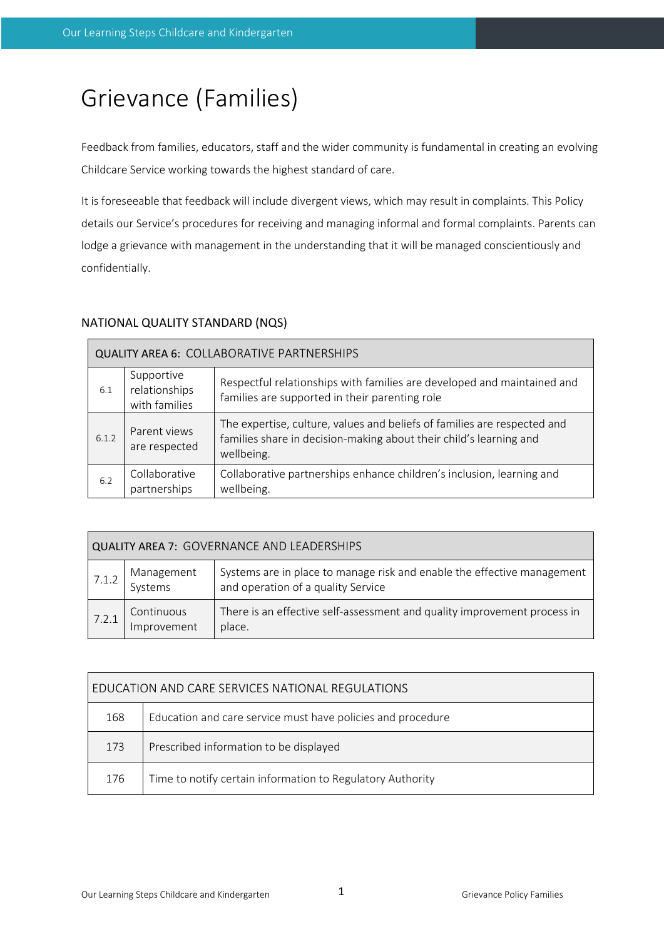# Grievance (Families)

Feedback from families, educators, staff and the wider community is fundamental in creating an evolving Childcare Service working towards the highest standard of care.

It is foreseeable that feedback will include divergent views, which may result in complaints. This Policy details our Service's procedures for receiving and managing informal and formal complaints. Parents can lodge a grievance with management in the understanding that it will be managed conscientiously and confidentially.

# NATIONAL QUALITY STANDARD (NQS)

| <b>QUALITY AREA 6: COLLABORATIVE PARTNERSHIPS</b> |                                              |                                                                                                                                                              |  |  |  |  |  |
|---------------------------------------------------|----------------------------------------------|--------------------------------------------------------------------------------------------------------------------------------------------------------------|--|--|--|--|--|
| 6.1                                               | Supportive<br>relationships<br>with families | Respectful relationships with families are developed and maintained and<br>families are supported in their parenting role                                    |  |  |  |  |  |
| 6.1.2                                             | Parent views<br>are respected                | The expertise, culture, values and beliefs of families are respected and<br>families share in decision-making about their child's learning and<br>wellbeing. |  |  |  |  |  |
| 6.2                                               | Collaborative<br>partnerships                | Collaborative partnerships enhance children's inclusion, learning and<br>wellbeing.                                                                          |  |  |  |  |  |

| <b>QUALITY AREA 7: GOVERNANCE AND LEADERSHIPS</b> |                           |                                                                                                               |  |  |  |  |
|---------------------------------------------------|---------------------------|---------------------------------------------------------------------------------------------------------------|--|--|--|--|
| 7.1.2                                             | Management<br>Systems     | Systems are in place to manage risk and enable the effective management<br>and operation of a quality Service |  |  |  |  |
| 7.2.1                                             | Continuous<br>Improvement | There is an effective self-assessment and quality improvement process in<br>place.                            |  |  |  |  |

| EDUCATION AND CARE SERVICES NATIONAL REGULATIONS |                                                             |  |  |  |  |
|--------------------------------------------------|-------------------------------------------------------------|--|--|--|--|
| 168                                              | Education and care service must have policies and procedure |  |  |  |  |
| 173                                              | Prescribed information to be displayed                      |  |  |  |  |
| 176                                              | Time to notify certain information to Regulatory Authority  |  |  |  |  |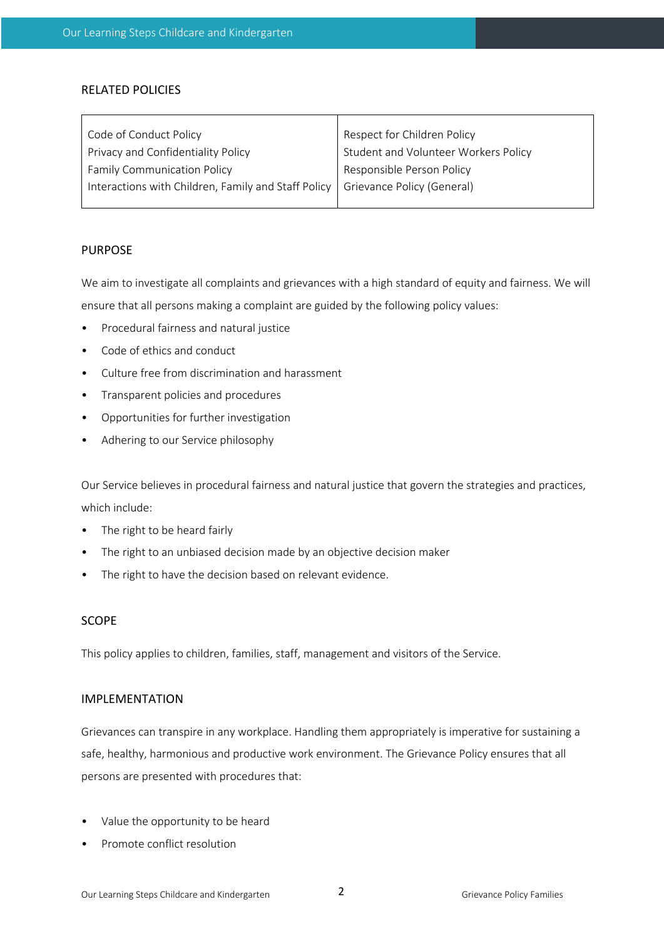#### RELATED POLICIES

| Code of Conduct Policy                              | Respect for Children Policy          |  |  |
|-----------------------------------------------------|--------------------------------------|--|--|
| Privacy and Confidentiality Policy                  | Student and Volunteer Workers Policy |  |  |
| <b>Family Communication Policy</b>                  | Responsible Person Policy            |  |  |
| Interactions with Children, Family and Staff Policy | Grievance Policy (General)           |  |  |
|                                                     |                                      |  |  |

#### PURPOSE

We aim to investigate all complaints and grievances with a high standard of equity and fairness. We will ensure that all persons making a complaint are guided by the following policy values:

- Procedural fairness and natural justice
- Code of ethics and conduct
- Culture free from discrimination and harassment
- Transparent policies and procedures
- Opportunities for further investigation
- Adhering to our Service philosophy

Our Service believes in procedural fairness and natural justice that govern the strategies and practices, which include:

- The right to be heard fairly
- The right to an unbiased decision made by an objective decision maker
- The right to have the decision based on relevant evidence.

## SCOPE

This policy applies to children, families, staff, management and visitors of the Service.

#### IMPLEMENTATION

Grievances can transpire in any workplace. Handling them appropriately is imperative for sustaining a safe, healthy, harmonious and productive work environment. The Grievance Policy ensures that all persons are presented with procedures that:

- Value the opportunity to be heard
- Promote conflict resolution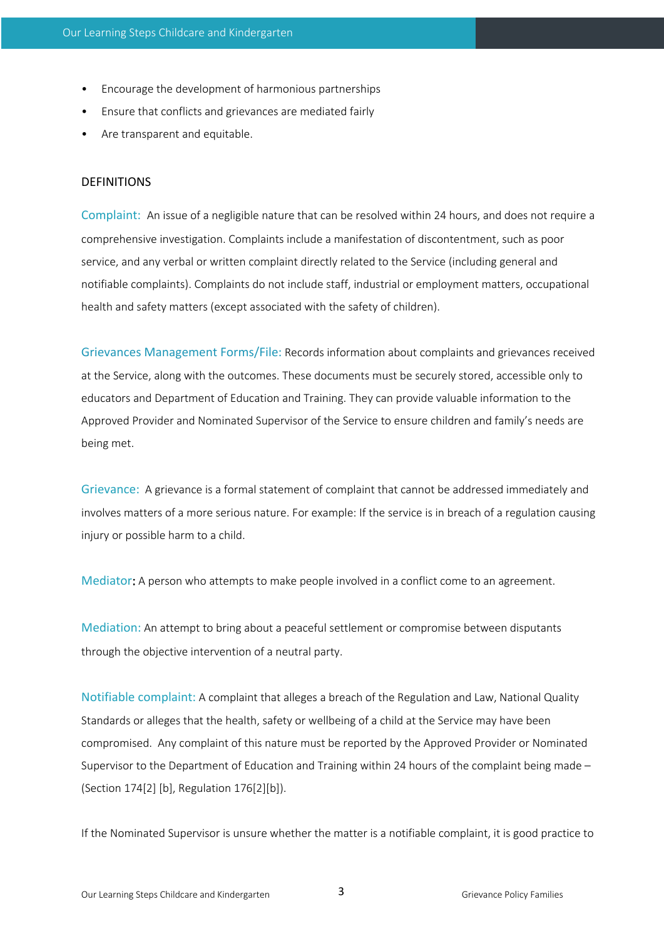- Encourage the development of harmonious partnerships
- Ensure that conflicts and grievances are mediated fairly
- Are transparent and equitable.

#### **DEFINITIONS**

Complaint: An issue of a negligible nature that can be resolved within 24 hours, and does not require a comprehensive investigation. Complaints include a manifestation of discontentment, such as poor service, and any verbal or written complaint directly related to the Service (including general and notifiable complaints). Complaints do not include staff, industrial or employment matters, occupational health and safety matters (except associated with the safety of children).

Grievances Management Forms/File: Records information about complaints and grievances received at the Service, along with the outcomes. These documents must be securely stored, accessible only to educators and Department of Education and Training. They can provide valuable information to the Approved Provider and Nominated Supervisor of the Service to ensure children and family's needs are being met.

Grievance: A grievance is a formal statement of complaint that cannot be addressed immediately and involves matters of a more serious nature. For example: If the service is in breach of a regulation causing injury or possible harm to a child.

Mediator: A person who attempts to make people involved in a conflict come to an agreement.

Mediation: An attempt to bring about a peaceful settlement or compromise between disputants through the objective intervention of a neutral party.

Notifiable complaint: A complaint that alleges a breach of the Regulation and Law, National Quality Standards or alleges that the health, safety or wellbeing of a child at the Service may have been compromised. Any complaint of this nature must be reported by the Approved Provider or Nominated Supervisor to the Department of Education and Training within 24 hours of the complaint being made – (Section 174[2] [b], Regulation 176[2][b]).

If the Nominated Supervisor is unsure whether the matter is a notifiable complaint, it is good practice to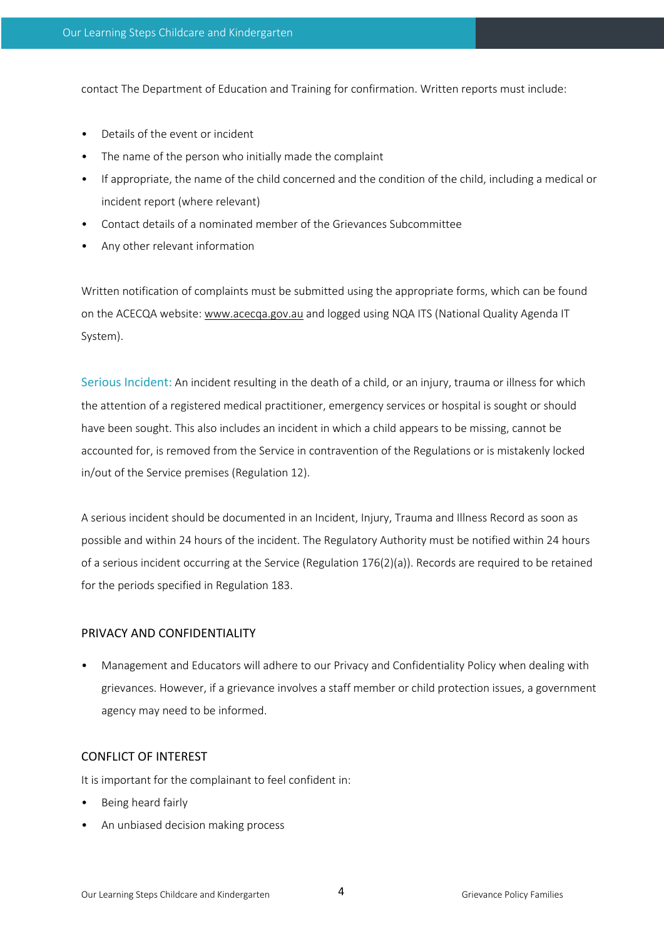contact The Department of Education and Training for confirmation. Written reports must include:

- Details of the event or incident
- The name of the person who initially made the complaint
- If appropriate, the name of the child concerned and the condition of the child, including a medical or incident report (where relevant)
- Contact details of a nominated member of the Grievances Subcommittee
- Any other relevant information

Written notification of complaints must be submitted using the appropriate forms, which can be found on the ACECQA website: www.acecqa.gov.au and logged using NQA ITS (National Quality Agenda IT System).

Serious Incident: An incident resulting in the death of a child, or an injury, trauma or illness for which the attention of a registered medical practitioner, emergency services or hospital is sought or should have been sought. This also includes an incident in which a child appears to be missing, cannot be accounted for, is removed from the Service in contravention of the Regulations or is mistakenly locked in/out of the Service premises (Regulation 12).

A serious incident should be documented in an Incident, Injury, Trauma and Illness Record as soon as possible and within 24 hours of the incident. The Regulatory Authority must be notified within 24 hours of a serious incident occurring at the Service (Regulation 176(2)(a)). Records are required to be retained for the periods specified in Regulation 183.

#### PRIVACY AND CONFIDENTIALITY

• Management and Educators will adhere to our Privacy and Confidentiality Policy when dealing with grievances. However, if a grievance involves a staff member or child protection issues, a government agency may need to be informed.

#### CONFLICT OF INTEREST

It is important for the complainant to feel confident in:

- Being heard fairly
- An unbiased decision making process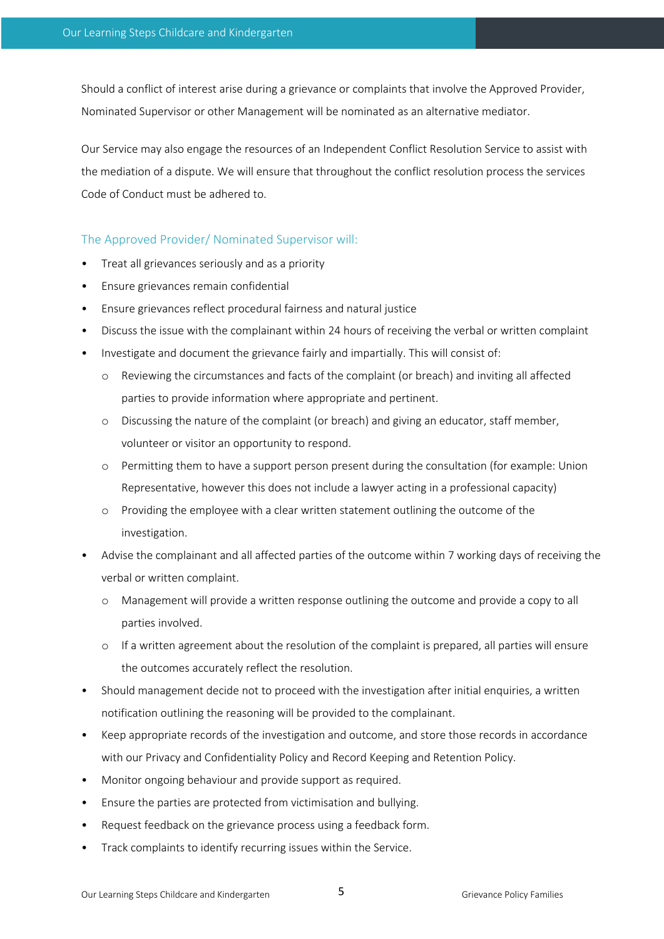Should a conflict of interest arise during a grievance or complaints that involve the Approved Provider, Nominated Supervisor or other Management will be nominated as an alternative mediator.

Our Service may also engage the resources of an Independent Conflict Resolution Service to assist with the mediation of a dispute. We will ensure that throughout the conflict resolution process the services Code of Conduct must be adhered to.

# The Approved Provider/ Nominated Supervisor will:

- Treat all grievances seriously and as a priority
- Ensure grievances remain confidential
- Ensure grievances reflect procedural fairness and natural justice
- Discuss the issue with the complainant within 24 hours of receiving the verbal or written complaint
- Investigate and document the grievance fairly and impartially. This will consist of:
	- o Reviewing the circumstances and facts of the complaint (or breach) and inviting all affected parties to provide information where appropriate and pertinent.
	- o Discussing the nature of the complaint (or breach) and giving an educator, staff member, volunteer or visitor an opportunity to respond.
	- o Permitting them to have a support person present during the consultation (for example: Union Representative, however this does not include a lawyer acting in a professional capacity)
	- o Providing the employee with a clear written statement outlining the outcome of the investigation.
- Advise the complainant and all affected parties of the outcome within 7 working days of receiving the verbal or written complaint.
	- o Management will provide a written response outlining the outcome and provide a copy to all parties involved.
	- o If a written agreement about the resolution of the complaint is prepared, all parties will ensure the outcomes accurately reflect the resolution.
- Should management decide not to proceed with the investigation after initial enquiries, a written notification outlining the reasoning will be provided to the complainant.
- Keep appropriate records of the investigation and outcome, and store those records in accordance with our Privacy and Confidentiality Policy and Record Keeping and Retention Policy.
- Monitor ongoing behaviour and provide support as required.
- Ensure the parties are protected from victimisation and bullying.
- Request feedback on the grievance process using a feedback form.
- Track complaints to identify recurring issues within the Service.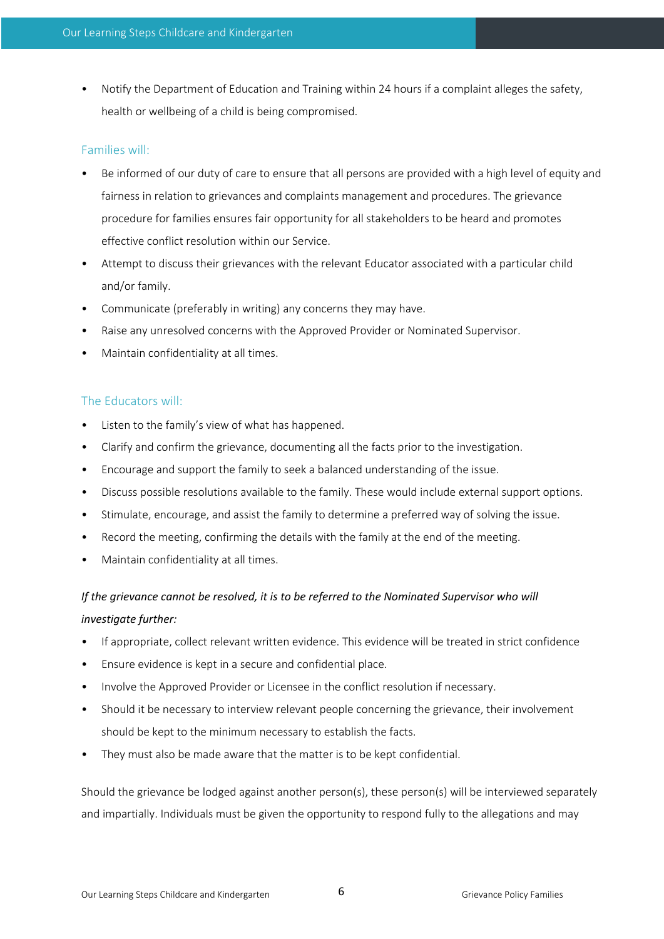• Notify the Department of Education and Training within 24 hours if a complaint alleges the safety, health or wellbeing of a child is being compromised.

## Families will:

- Be informed of our duty of care to ensure that all persons are provided with a high level of equity and fairness in relation to grievances and complaints management and procedures. The grievance procedure for families ensures fair opportunity for all stakeholders to be heard and promotes effective conflict resolution within our Service.
- Attempt to discuss their grievances with the relevant Educator associated with a particular child and/or family.
- Communicate (preferably in writing) any concerns they may have.
- Raise any unresolved concerns with the Approved Provider or Nominated Supervisor.
- Maintain confidentiality at all times.

# The Educators will:

- Listen to the family's view of what has happened.
- Clarify and confirm the grievance, documenting all the facts prior to the investigation.
- Encourage and support the family to seek a balanced understanding of the issue.
- Discuss possible resolutions available to the family. These would include external support options.
- Stimulate, encourage, and assist the family to determine a preferred way of solving the issue.
- Record the meeting, confirming the details with the family at the end of the meeting.
- Maintain confidentiality at all times.

# *If the grievance cannot be resolved, it is to be referred to the Nominated Supervisor who will investigate further:*

- If appropriate, collect relevant written evidence. This evidence will be treated in strict confidence
- Ensure evidence is kept in a secure and confidential place.
- Involve the Approved Provider or Licensee in the conflict resolution if necessary.
- Should it be necessary to interview relevant people concerning the grievance, their involvement should be kept to the minimum necessary to establish the facts.
- They must also be made aware that the matter is to be kept confidential.

Should the grievance be lodged against another person(s), these person(s) will be interviewed separately and impartially. Individuals must be given the opportunity to respond fully to the allegations and may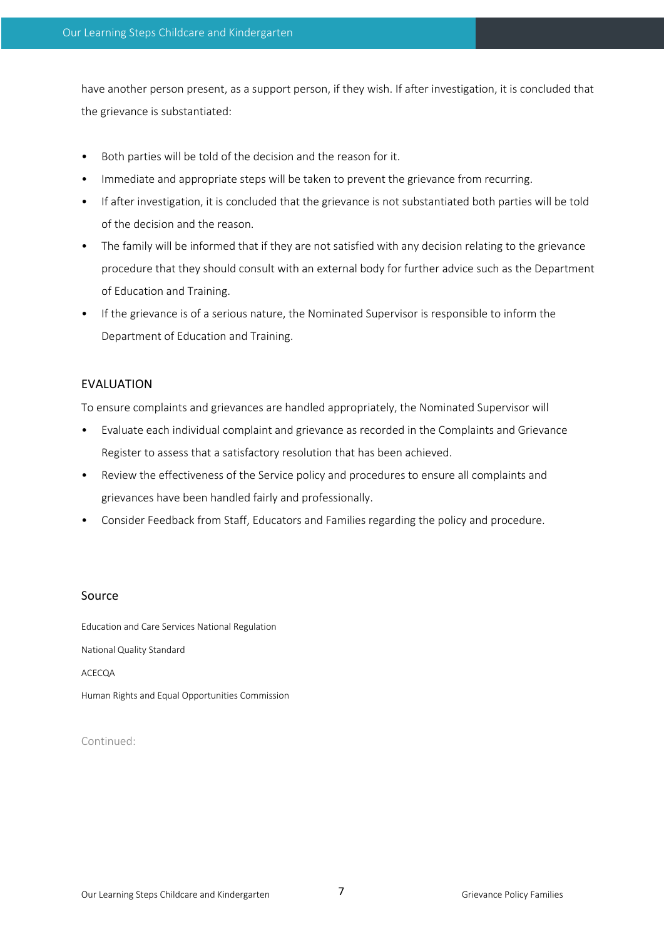have another person present, as a support person, if they wish. If after investigation, it is concluded that the grievance is substantiated:

- Both parties will be told of the decision and the reason for it.
- Immediate and appropriate steps will be taken to prevent the grievance from recurring.
- If after investigation, it is concluded that the grievance is not substantiated both parties will be told of the decision and the reason.
- The family will be informed that if they are not satisfied with any decision relating to the grievance procedure that they should consult with an external body for further advice such as the Department of Education and Training.
- If the grievance is of a serious nature, the Nominated Supervisor is responsible to inform the Department of Education and Training.

#### EVALUATION

To ensure complaints and grievances are handled appropriately, the Nominated Supervisor will

- Evaluate each individual complaint and grievance as recorded in the Complaints and Grievance Register to assess that a satisfactory resolution that has been achieved.
- Review the effectiveness of the Service policy and procedures to ensure all complaints and grievances have been handled fairly and professionally.
- Consider Feedback from Staff, Educators and Families regarding the policy and procedure.

#### Source

Education and Care Services National Regulation National Quality Standard ACECQA Human Rights and Equal Opportunities Commission

Continued: